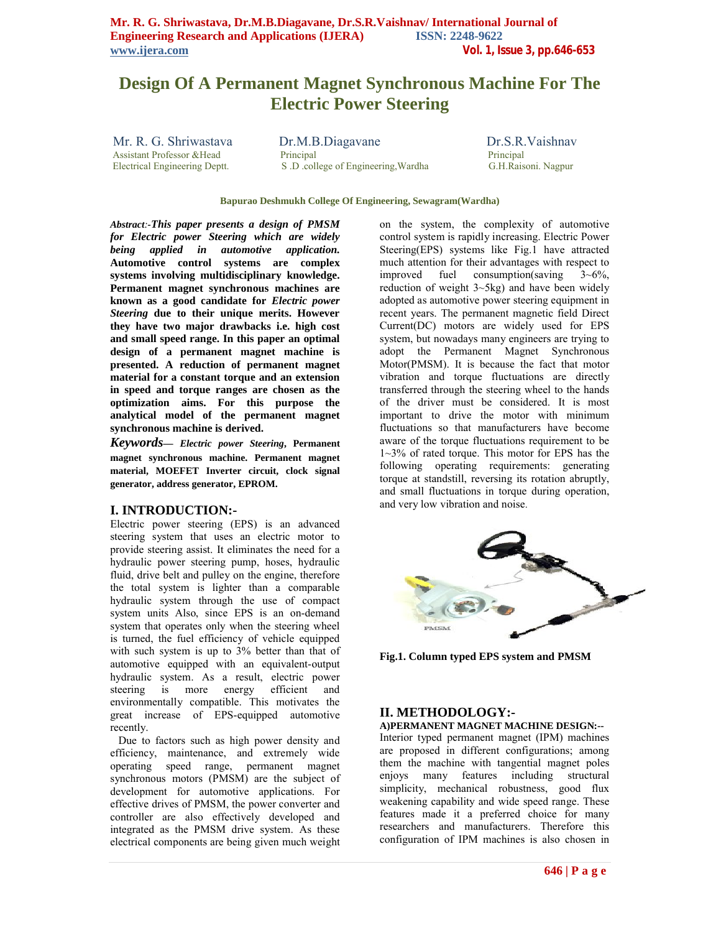# **Design Of A Permanent Magnet Synchronous Machine For The Electric Power Steering**

Mr. R. G. Shriwastava Dr.M.B.Diagavane Dr.S.R.Vaishnav Assistant Professor &Head Principal Principal Principal Principal Principal Principal Principal Principal Principal Principal Principal Principal Principal Principal Bleetrical Engineering Deptt. S. D. college of Engineeri S .D .college of Engineering Wardha

### **Bapurao Deshmukh College Of Engineering, Sewagram(Wardha)**

*Abstract:-This paper presents a design of PMSM for Electric power Steering which are widely being applied in automotive application.* **Automotive control systems are complex systems involving multidisciplinary knowledge. Permanent magnet synchronous machines are known as a good candidate for** *Electric power Steering* **due to their unique merits. However they have two major drawbacks i.e. high cost and small speed range. In this paper an optimal design of a permanent magnet machine is presented. A reduction of permanent magnet material for a constant torque and an extension in speed and torque ranges are chosen as the optimization aims. For this purpose the analytical model of the permanent magnet synchronous machine is derived.**

*Keywords***—** *Electric power Steering***, Permanent magnet synchronous machine. Permanent magnet material, MOEFET Inverter circuit, clock signal generator, address generator, EPROM.**

# **I. INTRODUCTION:-**

Electric power steering (EPS) is an advanced steering system that uses an electric motor to provide steering assist. It eliminates the need for a hydraulic power steering pump, hoses, hydraulic fluid, drive belt and pulley on the engine, therefore the total system is lighter than a comparable hydraulic system through the use of compact system units Also, since EPS is an on-demand system that operates only when the steering wheel is turned, the fuel efficiency of vehicle equipped with such system is up to  $3\%$  better than that of automotive equipped with an equivalent-output hydraulic system. As a result, electric power steering is more energy efficient and environmentally compatible. This motivates the great increase of EPS-equipped automotive recently.

 Due to factors such as high power density and efficiency, maintenance, and extremely wide operating speed range, permanent magnet synchronous motors (PMSM) are the subject of development for automotive applications. For effective drives of PMSM, the power converter and controller are also effectively developed and integrated as the PMSM drive system. As these electrical components are being given much weight on the system, the complexity of automotive control system is rapidly increasing. Electric Power Steering(EPS) systems like Fig.1 have attracted much attention for their advantages with respect to improved fuel consumption(saving 3~6%, reduction of weight 3~5kg) and have been widely adopted as automotive power steering equipment in recent years. The permanent magnetic field Direct Current(DC) motors are widely used for EPS system, but nowadays many engineers are trying to adopt the Permanent Magnet Synchronous Motor(PMSM). It is because the fact that motor vibration and torque fluctuations are directly transferred through the steering wheel to the hands of the driver must be considered. It is most important to drive the motor with minimum fluctuations so that manufacturers have become aware of the torque fluctuations requirement to be 1~3% of rated torque. This motor for EPS has the following operating requirements: generating torque at standstill, reversing its rotation abruptly, and small fluctuations in torque during operation, and very low vibration and noise.



**Fig.1. Column typed EPS system and PMSM**

# **II. METHODOLOGY:-**

# **A)PERMANENT MAGNET MACHINE DESIGN:--**

Interior typed permanent magnet (IPM) machines are proposed in different configurations; among them the machine with tangential magnet poles enjoys many features including structural simplicity, mechanical robustness, good flux weakening capability and wide speed range. These features made it a preferred choice for many researchers and manufacturers. Therefore this configuration of IPM machines is also chosen in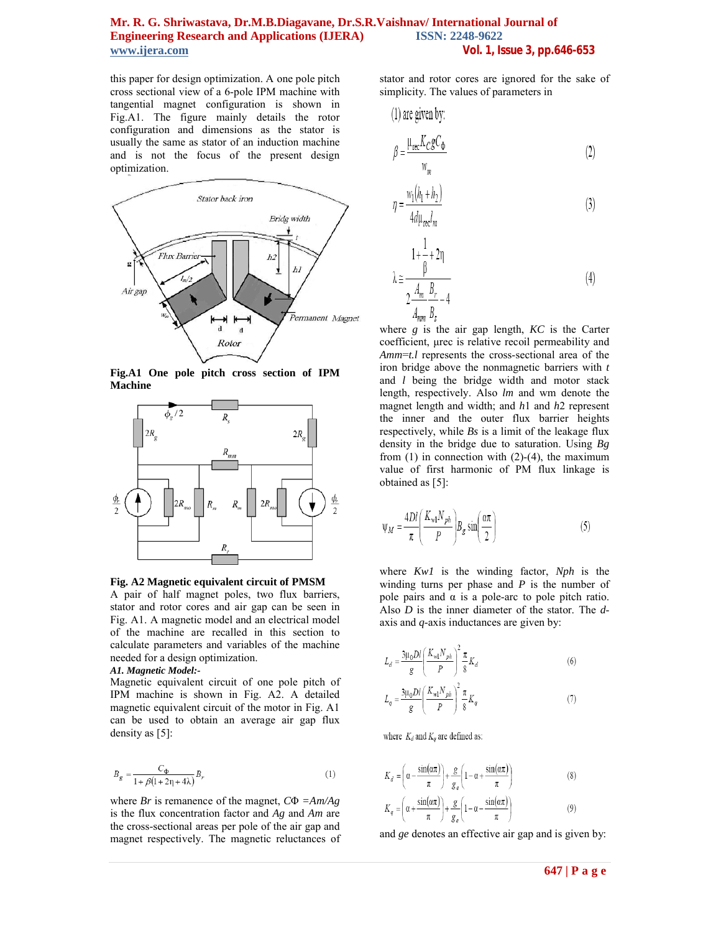this paper for design optimization. A one pole pitch cross sectional view of a 6-pole IPM machine with tangential magnet configuration is shown in Fig.A1. The figure mainly details the rotor configuration and dimensions as the stator is usually the same as stator of an induction machine and is not the focus of the present design optimization.



**Fig.A1 One pole pitch cross section of IPM Machine**



**Fig. A2 Magnetic equivalent circuit of PMSM**

A pair of half magnet poles, two flux barriers, stator and rotor cores and air gap can be seen in Fig. A1. A magnetic model and an electrical model of the machine are recalled in this section to calculate parameters and variables of the machine needed for a design optimization.

### *A1. Magnetic Model:-*

Magnetic equivalent circuit of one pole pitch of IPM machine is shown in Fig. A2. A detailed magnetic equivalent circuit of the motor in Fig. A1 can be used to obtain an average air gap flux density as [5]:

$$
B_g = \frac{C_{\Phi}}{1 + \beta \left(1 + 2\eta + 4\lambda\right)} B_r \tag{1}
$$

where *Br* is remanence of the magnet, *C*Φ *=Am/Ag*  is the flux concentration factor and *Ag* and *Am* are the cross-sectional areas per pole of the air gap and magnet respectively. The magnetic reluctances of stator and rotor cores are ignored for the sake of simplicity. The values of parameters in

(1) are given by:  
\n
$$
\beta = \frac{\mu_{\text{rec}} K_C g C_{\Phi}}{w_m}
$$
\n(2)

$$
\eta = \frac{w_1(h_1 + h_2)}{4d\mu_{\text{rec}}l_m} \tag{3}
$$

$$
\lambda \approx \frac{1 + \frac{1}{\beta} + 2\eta}{2\frac{A_m}{A_{mm}}\frac{B_r}{B_s} - 4}
$$
\n(4)

where *g* is the air gap length, *KC* is the Carter coefficient, μrec is relative recoil permeability and *Amm*=*t.l* represents the cross-sectional area of the iron bridge above the nonmagnetic barriers with *t*  and *l* being the bridge width and motor stack length, respectively. Also *lm* and wm denote the magnet length and width; and *h*1 and *h*2 represent the inner and the outer flux barrier heights respectively, while *Bs* is a limit of the leakage flux density in the bridge due to saturation. Using *Bg*  from  $(1)$  in connection with  $(2)-(4)$ , the maximum value of first harmonic of PM flux linkage is obtained as [5]:

$$
\Psi_M = \frac{4Dl}{\pi} \left( \frac{K_{wl} N_{ph}}{P} \right) B_g \sin \left( \frac{\alpha \pi}{2} \right) \tag{5}
$$

where *Kw1* is the winding factor, *Nph* is the winding turns per phase and *P* is the number of pole pairs and  $\alpha$  is a pole-arc to pole pitch ratio. Also *D* is the inner diameter of the stator. The *d*axis and *q*-axis inductances are given by:

$$
L_d = \frac{3\mu_0 D l}{g} \left(\frac{K_{wl} N_{ph}}{P}\right)^2 \frac{\pi}{8} K_d
$$
 (6)

$$
L_{q} = \frac{3\mu_{0}Dl}{g} \left(\frac{K_{wl}N_{ph}}{P}\right)^{2} \frac{\pi}{8} K_{q}
$$
\n(7)

where  $K_d$  and  $K_q$  are defined as:

$$
K_d = \left(\alpha - \frac{\sin(\alpha \pi)}{\pi}\right) + \frac{g}{g_e} \left(1 - \alpha + \frac{\sin(\alpha \pi)}{\pi}\right) \tag{8}
$$

$$
K_q = \left(\alpha + \frac{\sin(\alpha \pi)}{\pi}\right) + \frac{g}{g_e} \left(1 - \alpha - \frac{\sin(\alpha \pi)}{\pi}\right) \tag{9}
$$

and *ge* denotes an effective air gap and is given by: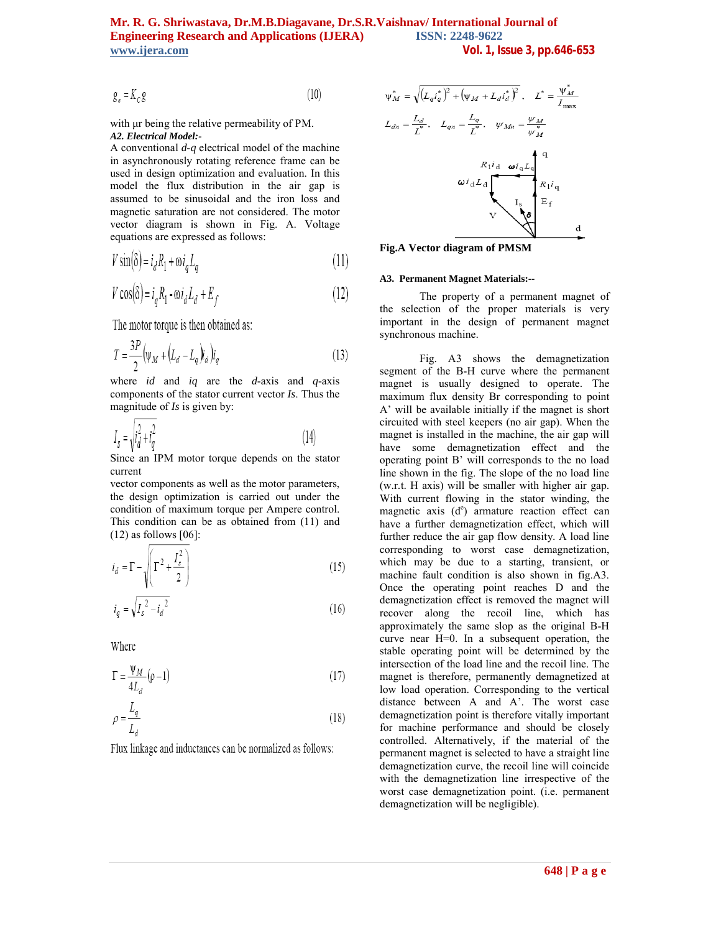$$
g_e = K_c g \tag{10}
$$

with μr being the relative permeability of PM. *A2. Electrical Model:-*

A conventional *d*-*q* electrical model of the machine in asynchronously rotating reference frame can be used in design optimization and evaluation. In this model the flux distribution in the air gap is assumed to be sinusoidal and the iron loss and magnetic saturation are not considered. The motor vector diagram is shown in Fig. A. Voltage equations are expressed as follows:

$$
V\sin(\delta) = i_d R_1 + \omega i_q L_q \tag{11}
$$

$$
V\cos(\delta) = i_q R_1 - \omega i_d L_d + E_f \tag{12}
$$

The motor torque is then obtained as:

$$
T = \frac{3P}{2} \left( \psi_M + \left( L_d - L_q \right) i_d \right) i_q \tag{13}
$$

where *id* and *iq* are the *d*-axis and *q*-axis components of the stator current vector *Is*. Thus the magnitude of *Is* is given by:

$$
I_s = \sqrt{i_d^2 + i_q^2} \tag{14}
$$

Since an IPM motor torque depends on the stator current

vector components as well as the motor parameters, the design optimization is carried out under the condition of maximum torque per Ampere control. This condition can be as obtained from (11) and (12) as follows [06]:

$$
i_d = \Gamma - \sqrt{\Gamma^2 + \frac{I_s^2}{2}}
$$
 (15)

$$
i_q = \sqrt{I_s^2 - i_d^2} \tag{16}
$$

Where

$$
\Gamma = \frac{\Psi_M}{4L_d} (\rho - 1) \tag{17}
$$

$$
\rho = \frac{L_q}{L_d} \tag{18}
$$

Flux linkage and inductances can be normalized as follows:



**Fig.A Vector diagram of PMSM**

#### **A3. Permanent Magnet Materials:--**

The property of a permanent magnet of the selection of the proper materials is very important in the design of permanent magnet synchronous machine.

Fig. A3 shows the demagnetization segment of the B-H curve where the permanent magnet is usually designed to operate. The maximum flux density Br corresponding to point A' will be available initially if the magnet is short circuited with steel keepers (no air gap). When the magnet is installed in the machine, the air gap will have some demagnetization effect and the operating point B' will corresponds to the no load line shown in the fig. The slope of the no load line (w.r.t. H axis) will be smaller with higher air gap. With current flowing in the stator winding, the magnetic axis  $(d^e)$  armature reaction effect can have a further demagnetization effect, which will further reduce the air gap flow density. A load line corresponding to worst case demagnetization, which may be due to a starting, transient, or machine fault condition is also shown in fig.A3. Once the operating point reaches D and the demagnetization effect is removed the magnet will recover along the recoil line, which has approximately the same slop as the original B-H curve near H=0. In a subsequent operation, the stable operating point will be determined by the intersection of the load line and the recoil line. The magnet is therefore, permanently demagnetized at low load operation. Corresponding to the vertical distance between A and A'. The worst case demagnetization point is therefore vitally important for machine performance and should be closely controlled. Alternatively, if the material of the permanent magnet is selected to have a straight line demagnetization curve, the recoil line will coincide with the demagnetization line irrespective of the worst case demagnetization point. (i.e. permanent demagnetization will be negligible).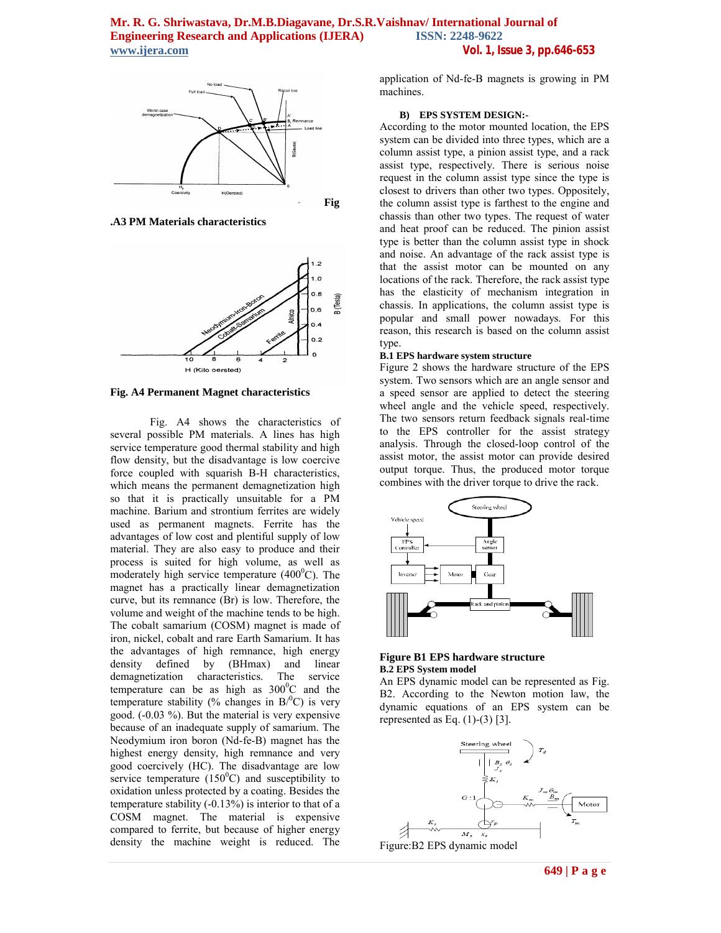

**.A3 PM Materials characteristics**



**Fig. A4 Permanent Magnet characteristics**

Fig. A4 shows the characteristics of several possible PM materials. A lines has high service temperature good thermal stability and high flow density, but the disadvantage is low coercive force coupled with squarish B-H characteristics, which means the permanent demagnetization high so that it is practically unsuitable for a PM machine. Barium and strontium ferrites are widely used as permanent magnets. Ferrite has the advantages of low cost and plentiful supply of low material. They are also easy to produce and their process is suited for high volume, as well as moderately high service temperature  $(400^{\circ}$ C). The magnet has a practically linear demagnetization curve, but its remnance (Br) is low. Therefore, the volume and weight of the machine tends to be high. The cobalt samarium (COSM) magnet is made of iron, nickel, cobalt and rare Earth Samarium. It has the advantages of high remnance, high energy density defined by (BHmax) and linear demagnetization characteristics. The service temperature can be as high as  $300^{\circ}$ C and the temperature stability (% changes in  $B$ <sup>0</sup>C) is very good. (-0.03 %). But the material is very expensive because of an inadequate supply of samarium. The Neodymium iron boron (Nd-fe-B) magnet has the highest energy density, high remnance and very good coercively (HC). The disadvantage are low service temperature  $(150^{\circ}C)$  and susceptibility to oxidation unless protected by a coating. Besides the temperature stability (-0.13%) is interior to that of a COSM magnet. The material is expensive compared to ferrite, but because of higher energy density the machine weight is reduced. The

application of Nd-fe-B magnets is growing in PM machines.

#### **B) EPS SYSTEM DESIGN:-**

According to the motor mounted location, the EPS system can be divided into three types, which are a column assist type, a pinion assist type, and a rack assist type, respectively. There is serious noise request in the column assist type since the type is closest to drivers than other two types. Oppositely, the column assist type is farthest to the engine and chassis than other two types. The request of water and heat proof can be reduced. The pinion assist type is better than the column assist type in shock and noise. An advantage of the rack assist type is that the assist motor can be mounted on any locations of the rack. Therefore, the rack assist type has the elasticity of mechanism integration in chassis. In applications, the column assist type is popular and small power nowadays. For this reason, this research is based on the column assist type.

#### **B.1 EPS hardware system structure**

Figure 2 shows the hardware structure of the EPS system. Two sensors which are an angle sensor and a speed sensor are applied to detect the steering wheel angle and the vehicle speed, respectively. The two sensors return feedback signals real-time to the EPS controller for the assist strategy analysis. Through the closed-loop control of the assist motor, the assist motor can provide desired output torque. Thus, the produced motor torque combines with the driver torque to drive the rack.



#### **Figure B1 EPS hardware structure B.2 EPS System model**

An EPS dynamic model can be represented as Fig. B2. According to the Newton motion law, the dynamic equations of an EPS system can be represented as Eq.  $(1)-(3)$  [3].

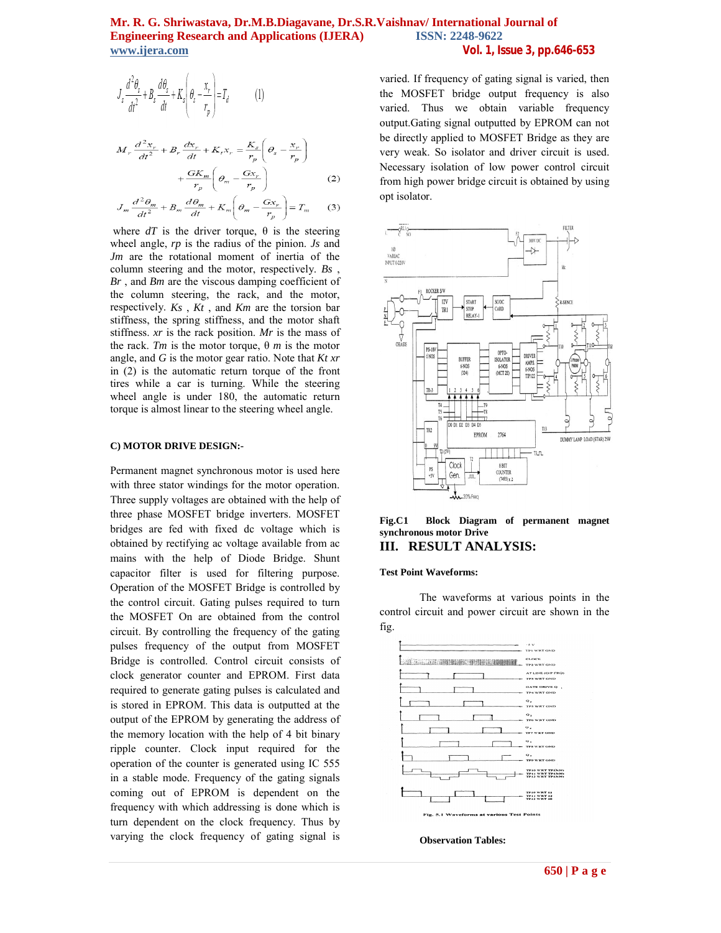$$
J_s \frac{d^2 \theta_s}{dt^2} + B_s \frac{d\theta_s}{dt} + K_s \left(\theta_s - \frac{x_r}{r_p}\right) = T_d \tag{1}
$$

$$
M_r \frac{d^2 x_r}{dt^2} + B_r \frac{dx_r}{dt} + K_t x_r = \frac{K_s}{r_p} \left( \theta_s - \frac{x_r}{r_p} \right)
$$

$$
+ \frac{G K_m}{r_p} \left( \theta_m - \frac{G x_r}{r_p} \right) \tag{2}
$$

$$
J_m \frac{d^2 \theta_m}{dt^2} + B_m \frac{d \theta_m}{dt} + K_m \left( \theta_m - \frac{G x_r}{r_p} \right) = T_m \qquad (3)
$$

where  $dT$  is the driver torque,  $\theta$  is the steering wheel angle, *rp* is the radius of the pinion. *Js* and *Jm* are the rotational moment of inertia of the column steering and the motor, respectively. *Bs* , *Br* , and *Bm* are the viscous damping coefficient of the column steering, the rack, and the motor, respectively. *Ks* , *Kt* , and *Km* are the torsion bar stiffness, the spring stiffness, and the motor shaft stiffness. *xr* is the rack position. *Mr* is the mass of the rack. *Tm* is the motor torque, θ *m* is the motor angle, and *G* is the motor gear ratio. Note that *Kt xr*  in (2) is the automatic return torque of the front tires while a car is turning. While the steering wheel angle is under 180, the automatic return torque is almost linear to the steering wheel angle.

### **C) MOTOR DRIVE DESIGN:-**

Permanent magnet synchronous motor is used here with three stator windings for the motor operation. Three supply voltages are obtained with the help of three phase MOSFET bridge inverters. MOSFET bridges are fed with fixed dc voltage which is obtained by rectifying ac voltage available from ac mains with the help of Diode Bridge. Shunt capacitor filter is used for filtering purpose. Operation of the MOSFET Bridge is controlled by the control circuit. Gating pulses required to turn the MOSFET On are obtained from the control circuit. By controlling the frequency of the gating pulses frequency of the output from MOSFET Bridge is controlled. Control circuit consists of clock generator counter and EPROM. First data required to generate gating pulses is calculated and is stored in EPROM. This data is outputted at the output of the EPROM by generating the address of the memory location with the help of 4 bit binary ripple counter. Clock input required for the operation of the counter is generated using IC 555 in a stable mode. Frequency of the gating signals coming out of EPROM is dependent on the frequency with which addressing is done which is turn dependent on the clock frequency. Thus by varying the clock frequency of gating signal is

varied. If frequency of gating signal is varied, then the MOSFET bridge output frequency is also varied. Thus we obtain variable frequency output.Gating signal outputted by EPROM can not be directly applied to MOSFET Bridge as they are very weak. So isolator and driver circuit is used. Necessary isolation of low power control circuit from high power bridge circuit is obtained by using opt isolator.



### **Fig.C1 Block Diagram of permanent magnet synchronous motor Drive III. RESULT ANALYSIS:**

#### **Test Point Waveforms:**

The waveforms at various points in the control circuit and power circuit are shown in the fig.



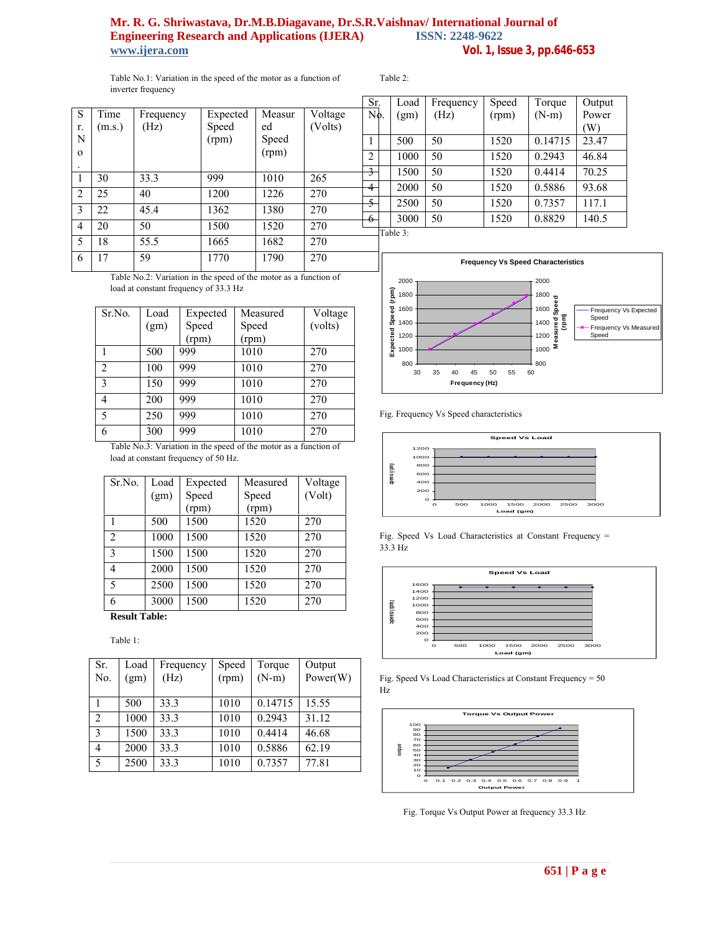Table No.1: Variation in the speed of the motor as a function of inverter frequency

Table 2:

| S              | Time   | Frequency | Expected | Measur | Voltage |  |
|----------------|--------|-----------|----------|--------|---------|--|
| r.             | (m.s.) | (Hz)      | Speed    | ed     | (Volts) |  |
| N              |        |           | (rpm)    | Speed  |         |  |
| $\Omega$       |        |           |          | (rpm)  |         |  |
|                |        |           |          |        |         |  |
| 1              | 30     | 33.3      | 999      | 1010   | 265     |  |
| $\overline{2}$ | 25     | 40        | 1200     | 1226   | 270     |  |
| 3              | 22     | 45.4      | 1362     | 1380   | 270     |  |
| 4              | 20     | 50        | 1500     | 1520   | 270     |  |
| 5              | 18     | 55.5      | 1665     | 1682   | 270     |  |
| 6              | 17     | 59        | 1770     | 1790   | 270     |  |
|                |        |           |          |        |         |  |

Table No.2: Variation in the speed of the motor as a function of load at constant frequency of 33.3 Hz

| Sr.No.         | Load | Expected | Measured | Voltage |
|----------------|------|----------|----------|---------|
|                | (gm) | Speed    | Speed    | (volts) |
|                |      | (rpm)    | (rpm)    |         |
|                | 500  | 999      | 1010     | 270     |
| $\overline{2}$ | 100  | 999      | 1010     | 270     |
| 3              | 150  | 999      | 1010     | 270     |
| 4              | 200  | 999      | 1010     | 270     |
| 5              | 250  | 999      | 1010     | 270     |
| 6              | 300  | 999      | 1010     | 270     |

Table No.3: Variation in the speed of the motor as a function of load at constant frequency of 50 Hz.

| Sr.No.         | Load | Expected | Measured | Voltage |
|----------------|------|----------|----------|---------|
|                | (gm) | Speed    | Speed    | (Volt)  |
|                |      | (rpm)    | (rpm)    |         |
| 1              | 500  | 1500     | 1520     | 270     |
| $\overline{2}$ | 1000 | 1500     | 1520     | 270     |
| 3              | 1500 | 1500     | 1520     | 270     |
| 4              | 2000 | 1500     | 1520     | 270     |
| 5              | 2500 | 1500     | 1520     | 270     |
| 6              | 3000 | 1500     | 1520     | 270     |

**Result Table:**

Table 1:

| Sr.            | Load | Frequency | Speed | Torque  | Output   |
|----------------|------|-----------|-------|---------|----------|
| No.            | (gm) | (Hz)      | (rpm) | $(N-m)$ | Power(W) |
|                |      |           |       |         |          |
|                | 500  | 33.3      | 1010  | 0.14715 | 15.55    |
| $\overline{2}$ | 1000 | 33.3      | 1010  | 0.2943  | 31.12    |
| 3              | 1500 | 33.3      | 1010  | 0.4414  | 46.68    |
| $\overline{4}$ | 2000 | 33.3      | 1010  | 0.5886  | 62.19    |
| 5              | 2500 | 33.3      | 1010  | 0.7357  | 77.81    |

| Sr.                      | Load     | Frequency | Speed | Torque  | Output |
|--------------------------|----------|-----------|-------|---------|--------|
| $\overline{\text{No}}$ . | (gm)     | (Hz)      | (rpm) | $(N-m)$ | Power  |
|                          |          |           |       |         | (W)    |
| 1                        | 500      | 50        | 1520  | 0.14715 | 23.47  |
| $\overline{2}$           | 1000     | 50        | 1520  | 0.2943  | 46.84  |
| 3                        | 1500     | 50        | 1520  | 0.4414  | 70.25  |
| $\overline{4}$           | 2000     | 50        | 1520  | 0.5886  | 93.68  |
| $\overline{5}$           | 2500     | 50        | 1520  | 0.7357  | 117.1  |
| 6                        | 3000     | 50        | 1520  | 0.8829  | 140.5  |
|                          | Table 3: |           |       |         |        |



Fig. Frequency Vs Speed characteristics



Fig. Speed Vs Load Characteristics at Constant Frequency = 33.3 Hz



Fig. Speed Vs Load Characteristics at Constant Frequency = 50 Hz



Fig. Torque Vs Output Power at frequency 33.3 Hz